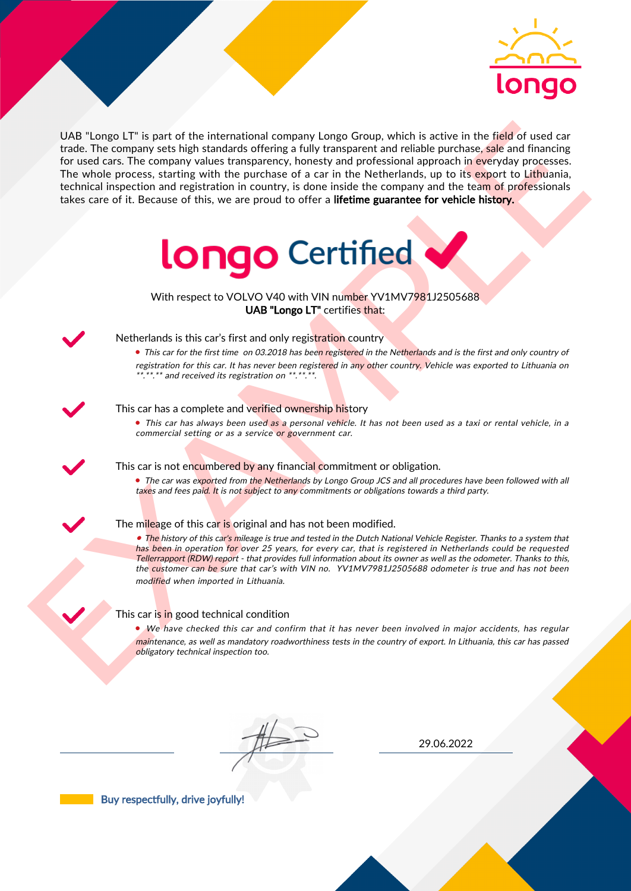

UAS "Lange LI" is part of the interactional company longe Group, which is active in the field of uast car<br>for the field of the control and the interaction between the particles are proposed in the Methodian distribution o UAB "Longo LT" is part of the international company Longo Group, which is active in the field of used car trade. The company sets high standards offering a fully transparent and reliable purchase, sale and financing for used cars. The company values transparency, honesty and professional approach in everyday processes. The whole process, starting with the purchase of a car in the Netherlands, up to its export to Lithuania, technical inspection and registration in country, is done inside the company and the team of professionals takes care of it. Because of this, we are proud to offer a lifetime guarantee for vehicle history.



With respect to VOLVO V40 with VIN number YV1MV7981J2505688 UAB "Longo LT" certifies that:



## Netherlands is this car's first and only registration country

• This car for the first time on 03.2018 has been registered in the Netherlands and is the first and only country of registration for this car. It has never been registered in any other country. Vehicle was exported to Lithuania on \*.\*\*.\*\* and received its registration on \*\*.\*\*.\*\*.

## This car has a complete and verified ownership history

• This car has always been used as a personal vehicle. It has not been used as a taxi or rental vehicle, in a commercial setting or as a service or government car.

This car is not encumbered by any financial commitment or obligation.

• The car was exported from the Netherlands by Longo Group JCS and all procedures have been followed with all taxes and fees paid. It is not subject to any commitments or obligations towards a third party.



#### The mileage of this car is original and has not been modified.

• The history of this car's mileage is true and tested in the Dutch National Vehicle Register. Thanks to a system that has been in operation for over 25 years, for every car, that is registered in Netherlands could be requested Tellerrapport (RDW) report - that provides full information about its owner as well as the odometer. Thanks to this, the customer can be sure that car's with VIN no. YV1MV7981J2505688 odometer is true and has not been modified when imported in Lithuania.

## This car is in good technical condition

• We have checked this car and confirm that it has never been involved in major accidents, has regular maintenance, as well as mandatory roadworthiness tests in the country of export. In Lithuania, this car has passed obligatory technical inspection too.

29.06.2022

Buy respectfully, drive joyfully!